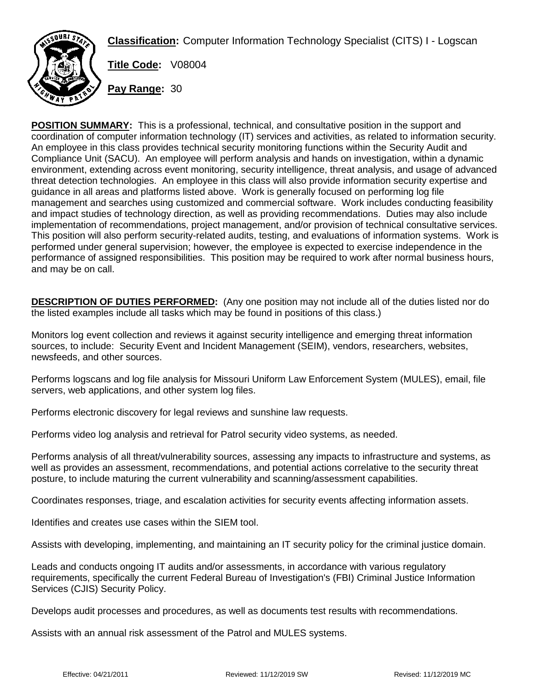**Classification:** Computer Information Technology Specialist (CITS) I - Logscan



**Title Code:** V08004

**Pay Range:** 30

**POSITION SUMMARY:** This is a professional, technical, and consultative position in the support and coordination of computer information technology (IT) services and activities, as related to information security. An employee in this class provides technical security monitoring functions within the Security Audit and Compliance Unit (SACU). An employee will perform analysis and hands on investigation, within a dynamic environment, extending across event monitoring, security intelligence, threat analysis, and usage of advanced threat detection technologies. An employee in this class will also provide information security expertise and guidance in all areas and platforms listed above. Work is generally focused on performing log file management and searches using customized and commercial software. Work includes conducting feasibility and impact studies of technology direction, as well as providing recommendations. Duties may also include implementation of recommendations, project management, and/or provision of technical consultative services. This position will also perform security-related audits, testing, and evaluations of information systems. Work is performed under general supervision; however, the employee is expected to exercise independence in the performance of assigned responsibilities. This position may be required to work after normal business hours, and may be on call.

**DESCRIPTION OF DUTIES PERFORMED:** (Any one position may not include all of the duties listed nor do the listed examples include all tasks which may be found in positions of this class.)

Monitors log event collection and reviews it against security intelligence and emerging threat information sources, to include: Security Event and Incident Management (SEIM), vendors, researchers, websites, newsfeeds, and other sources.

Performs logscans and log file analysis for Missouri Uniform Law Enforcement System (MULES), email, file servers, web applications, and other system log files.

Performs electronic discovery for legal reviews and sunshine law requests.

Performs video log analysis and retrieval for Patrol security video systems, as needed.

Performs analysis of all threat/vulnerability sources, assessing any impacts to infrastructure and systems, as well as provides an assessment, recommendations, and potential actions correlative to the security threat posture, to include maturing the current vulnerability and scanning/assessment capabilities.

Coordinates responses, triage, and escalation activities for security events affecting information assets.

Identifies and creates use cases within the SIEM tool.

Assists with developing, implementing, and maintaining an IT security policy for the criminal justice domain.

Leads and conducts ongoing IT audits and/or assessments, in accordance with various regulatory requirements, specifically the current Federal Bureau of Investigation's (FBI) Criminal Justice Information Services (CJIS) Security Policy.

Develops audit processes and procedures, as well as documents test results with recommendations.

Assists with an annual risk assessment of the Patrol and MULES systems.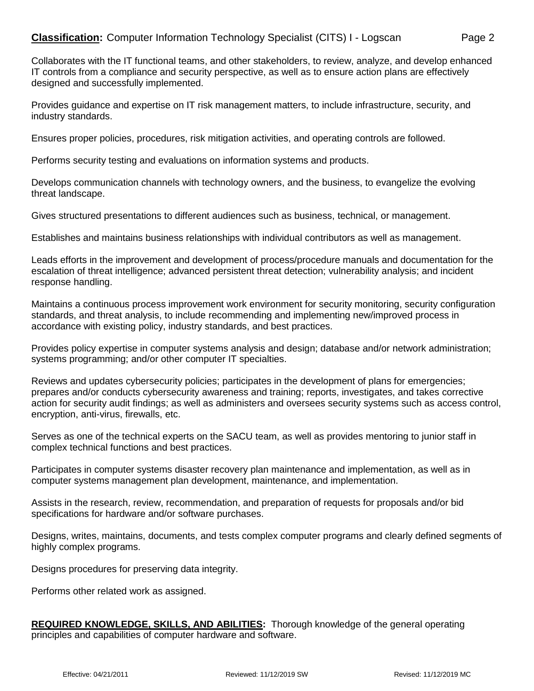Collaborates with the IT functional teams, and other stakeholders, to review, analyze, and develop enhanced IT controls from a compliance and security perspective, as well as to ensure action plans are effectively designed and successfully implemented.

Provides guidance and expertise on IT risk management matters, to include infrastructure, security, and industry standards.

Ensures proper policies, procedures, risk mitigation activities, and operating controls are followed.

Performs security testing and evaluations on information systems and products.

Develops communication channels with technology owners, and the business, to evangelize the evolving threat landscape.

Gives structured presentations to different audiences such as business, technical, or management.

Establishes and maintains business relationships with individual contributors as well as management.

Leads efforts in the improvement and development of process/procedure manuals and documentation for the escalation of threat intelligence; advanced persistent threat detection; vulnerability analysis; and incident response handling.

Maintains a continuous process improvement work environment for security monitoring, security configuration standards, and threat analysis, to include recommending and implementing new/improved process in accordance with existing policy, industry standards, and best practices.

Provides policy expertise in computer systems analysis and design; database and/or network administration; systems programming; and/or other computer IT specialties.

Reviews and updates cybersecurity policies; participates in the development of plans for emergencies; prepares and/or conducts cybersecurity awareness and training; reports, investigates, and takes corrective action for security audit findings; as well as administers and oversees security systems such as access control, encryption, anti-virus, firewalls, etc.

Serves as one of the technical experts on the SACU team, as well as provides mentoring to junior staff in complex technical functions and best practices.

Participates in computer systems disaster recovery plan maintenance and implementation, as well as in computer systems management plan development, maintenance, and implementation.

Assists in the research, review, recommendation, and preparation of requests for proposals and/or bid specifications for hardware and/or software purchases.

Designs, writes, maintains, documents, and tests complex computer programs and clearly defined segments of highly complex programs.

Designs procedures for preserving data integrity.

Performs other related work as assigned.

**REQUIRED KNOWLEDGE, SKILLS, AND ABILITIES:** Thorough knowledge of the general operating principles and capabilities of computer hardware and software.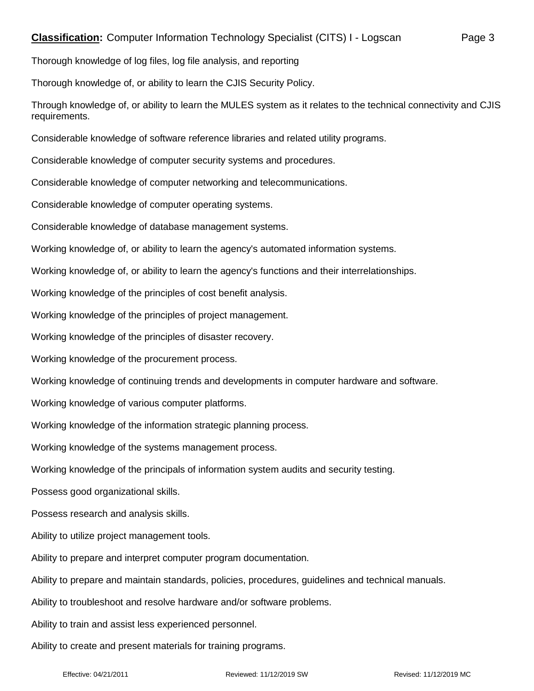Thorough knowledge of log files, log file analysis, and reporting

Thorough knowledge of, or ability to learn the CJIS Security Policy.

Through knowledge of, or ability to learn the MULES system as it relates to the technical connectivity and CJIS requirements.

Considerable knowledge of software reference libraries and related utility programs.

Considerable knowledge of computer security systems and procedures.

Considerable knowledge of computer networking and telecommunications.

Considerable knowledge of computer operating systems.

Considerable knowledge of database management systems.

Working knowledge of, or ability to learn the agency's automated information systems.

Working knowledge of, or ability to learn the agency's functions and their interrelationships.

Working knowledge of the principles of cost benefit analysis.

Working knowledge of the principles of project management.

Working knowledge of the principles of disaster recovery.

Working knowledge of the procurement process.

Working knowledge of continuing trends and developments in computer hardware and software.

Working knowledge of various computer platforms.

Working knowledge of the information strategic planning process.

Working knowledge of the systems management process.

Working knowledge of the principals of information system audits and security testing.

Possess good organizational skills.

Possess research and analysis skills.

Ability to utilize project management tools.

Ability to prepare and interpret computer program documentation.

Ability to prepare and maintain standards, policies, procedures, guidelines and technical manuals.

Ability to troubleshoot and resolve hardware and/or software problems.

Ability to train and assist less experienced personnel.

Ability to create and present materials for training programs.